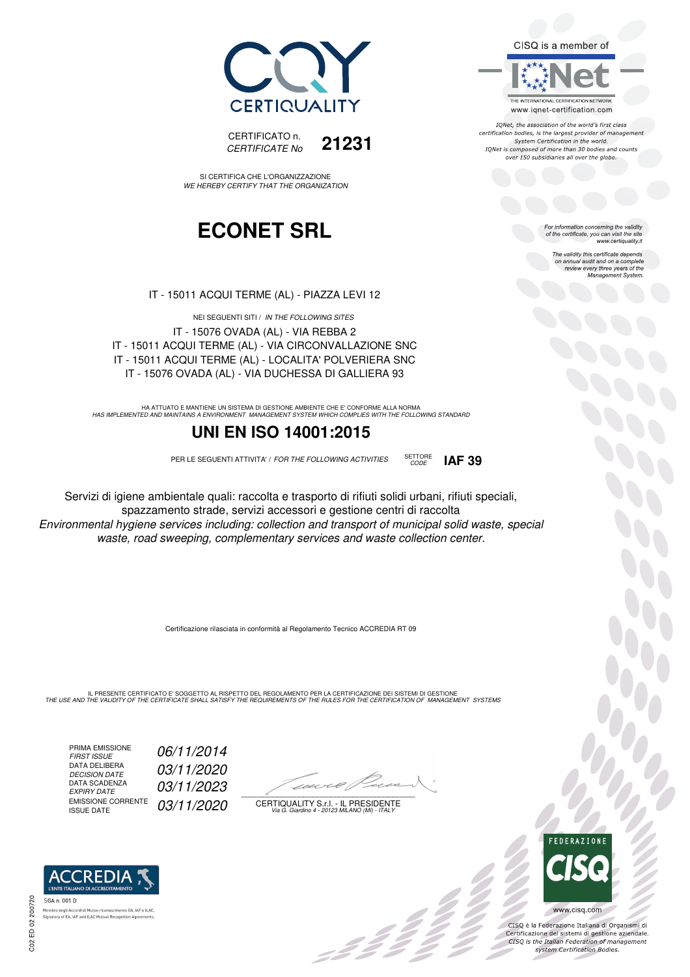CISQ is a member of



IONet, the association of the world's first class certification bodies, is the largest provider of management System Certification in the world. IQNet is composed of more than 30 bodies and counts over 150 subsidiaries all over the globe.

For information concerning the validity<br>of the certificate, you can visit the site<br>www.certiquality.it

The validity this certificate depends on annual audit and on a complete review every three years of the Management System.



CERTIFICATO n. *CERTIFICATE No* **21231**

SI CERTIFICA CHE L'ORGANIZZAZIONE *WE HEREBY CERTIFY THAT THE ORGANIZATION*

### **ECONET SRL**

IT - 15011 ACQUI TERME (AL) - PIAZZA LEVI 12

NEI SEGUENTI SITI / *IN THE FOLLOWING SITES* IT - 15076 OVADA (AL) - VIA REBBA 2 IT - 15011 ACQUI TERME (AL) - VIA CIRCONVALLAZIONE SNC IT - 15011 ACQUI TERME (AL) - LOCALITA' POLVERIERA SNC IT - 15076 OVADA (AL) - VIA DUCHESSA DI GALLIERA 93

HA ATTUATO E MANTIENE UN SISTEMA DI GESTIONE AMBIENTE CHE E' CONFORME ALLA NORMA<br>HAS IMPLEMENTED AND MAINTAINS A ENVIRONMENT MANAGEMENT SYSTEM WHICH COMPLIES WITH THE FOLLOWING STANDARD

### **UNI EN ISO 14001:2015**

PER LE SEGUENTI ATTIVITA' / *FOR THE FOLLOWING ACTIVITIES* SETTORE

*CODE* **IAF 39**

Servizi di igiene ambientale quali: raccolta e trasporto di rifiuti solidi urbani, rifiuti speciali, spazzamento strade, servizi accessori e gestione centri di raccolta *Environmental hygiene services including: collection and transport of municipal solid waste, special waste, road sweeping, complementary services and waste collection center.*

Certificazione rilasciata in conformità al Regolamento Tecnico ACCREDIA RT 09

IL PRESENTE CERTIFICATO E' SOGGETTO AL RISPETTO DEL REGOLAMENTO PER LA CERTIFICAZIONE DEI SISTEMI DI GESTIONE<br>THE USE AND THE VALIDITY OF THE CERTIFICATE SHALL SATISFY THE REQUIREMENTS OF THE RULES FOR THE CERTIFICATION OF

PRIMA EMISSIONE<br>FIRST ISSUE *FIRST ISSUE 06/11/2014* DATA DELIBERA<br>DECISION DATE *DECISION DATE 03/11/2020* DATA SCADENZA<br>EXPIRY DATE *EXPIRY DATE 03/11/2023* EMISSIONE CORRENTE<br>ISSUE DATE 03/11/2020

 $\overline{\phantom{a}}$ 

:422

CERTIQUALITY S.r.l. - IL PRESIDENTE *Via G. Giardino 4 - 20123 MILANO (MI) - ITALY*



 $\frac{1}{2}$ 

CISQ è la Federazione Italiana di Organismi di Certificazione dei sistemi di gestione aziendale.<br>CISQ is the Italian Federation of management system Certification Bodies.